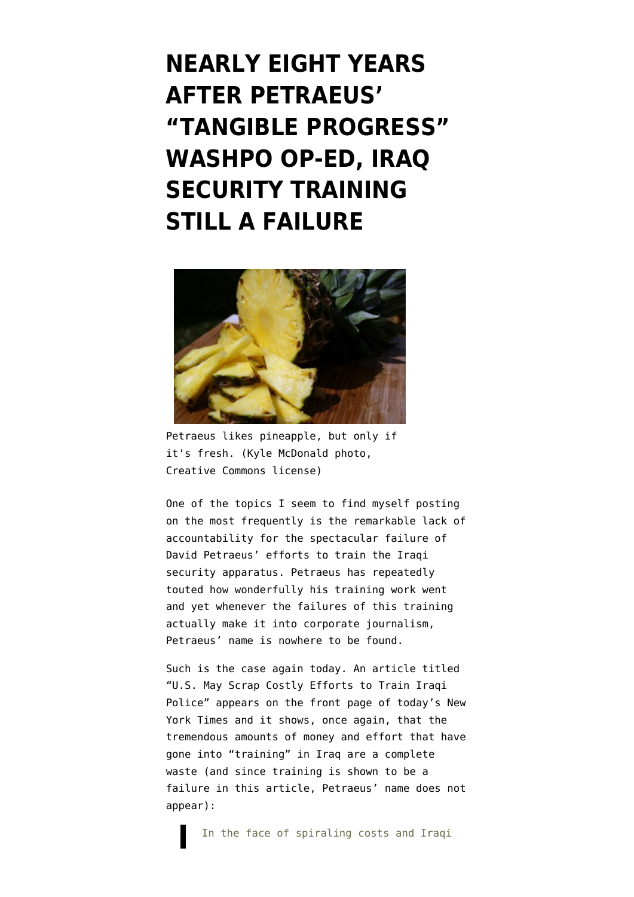**[NEARLY EIGHT YEARS](https://www.emptywheel.net/2012/05/13/nearly-eight-years-after-petraeus-tangible-progress-washpo-op-ed-iraq-security-training-still-a-failure/) [AFTER PETRAEUS'](https://www.emptywheel.net/2012/05/13/nearly-eight-years-after-petraeus-tangible-progress-washpo-op-ed-iraq-security-training-still-a-failure/) ["TANGIBLE PROGRESS"](https://www.emptywheel.net/2012/05/13/nearly-eight-years-after-petraeus-tangible-progress-washpo-op-ed-iraq-security-training-still-a-failure/) [WASHPO OP-ED, IRAQ](https://www.emptywheel.net/2012/05/13/nearly-eight-years-after-petraeus-tangible-progress-washpo-op-ed-iraq-security-training-still-a-failure/) [SECURITY TRAINING](https://www.emptywheel.net/2012/05/13/nearly-eight-years-after-petraeus-tangible-progress-washpo-op-ed-iraq-security-training-still-a-failure/) [STILL A FAILURE](https://www.emptywheel.net/2012/05/13/nearly-eight-years-after-petraeus-tangible-progress-washpo-op-ed-iraq-security-training-still-a-failure/)**



Petraeus likes pineapple, but only if it's fresh. (Kyle McDonald photo, Creative Commons license)

One of the topics I seem to find myself posting on the most frequently is the remarkable lack of accountability for the spectacular failure of David Petraeus' efforts to train the Iraqi security apparatus. Petraeus has repeatedly touted how wonderfully his training work went and yet whenever the failures of this training actually make it into corporate journalism, Petraeus' name is nowhere to be found.

Such is the case again today. An article titled "[U.S. May Scrap Costly Efforts to Train Iraqi](http://www.nytimes.com/2012/05/13/world/middleeast/us-may-scrap-costly-effort-to-train-iraqi-police.html) [Police](http://www.nytimes.com/2012/05/13/world/middleeast/us-may-scrap-costly-effort-to-train-iraqi-police.html)" appears on the front page of today's New York Times and it shows, once again, that the tremendous amounts of money and effort that have gone into "training" in Iraq are a complete waste (and since training is shown to be a failure in this article, Petraeus' name does not appear):

In the face of spiraling costs and Iraqi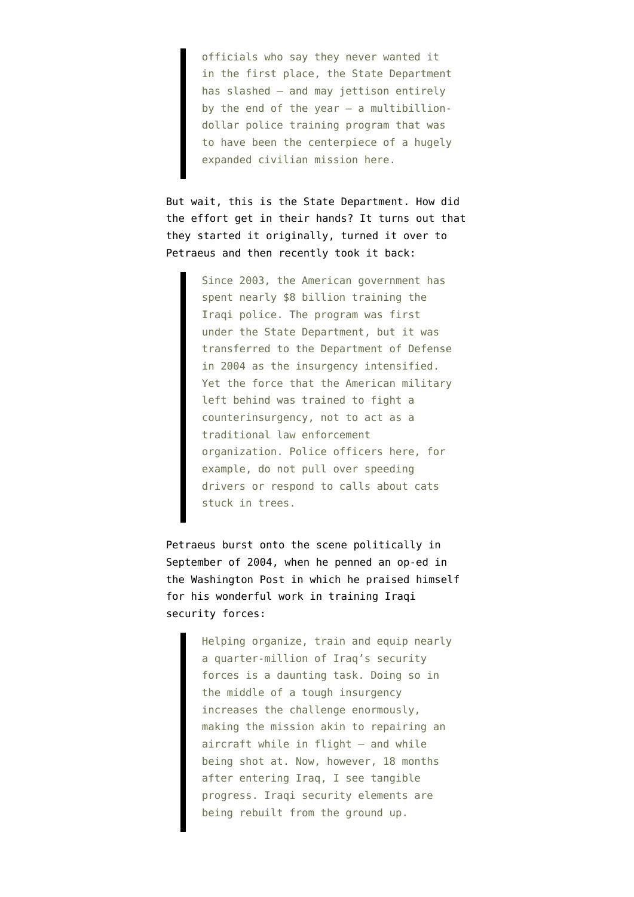officials who say they never wanted it in the first place, the State Department has slashed — and may jettison entirely by the end of the year  $-$  a multibilliondollar police training program that was to have been the centerpiece of a hugely expanded civilian mission here.

But wait, this is the State Department. How did the effort get in their hands? It turns out that they started it originally, turned it over to Petraeus and then recently took it back:

> Since 2003, the American government has spent nearly \$8 billion training the Iraqi police. The program was first under the State Department, but it was transferred to the Department of Defense in 2004 as the insurgency intensified. Yet the force that the American military left behind was trained to fight a counterinsurgency, not to act as a traditional law enforcement organization. Police officers here, for example, do not pull over speeding drivers or respond to calls about cats stuck in trees.

Petraeus burst onto the scene politically in September of 2004, when he penned an [op-ed in](http://www.washingtonpost.com/wp-dyn/articles/A49283-2004Sep25.html) [the Washington Post](http://www.washingtonpost.com/wp-dyn/articles/A49283-2004Sep25.html) in which he praised himself for his wonderful work in training Iraqi security forces:

> Helping organize, train and equip nearly a quarter-million of Iraq's security forces is a daunting task. Doing so in the middle of a tough insurgency increases the challenge enormously, making the mission akin to repairing an aircraft while in flight — and while being shot at. Now, however, 18 months after entering Iraq, I see tangible progress. Iraqi security elements are being rebuilt from the ground up.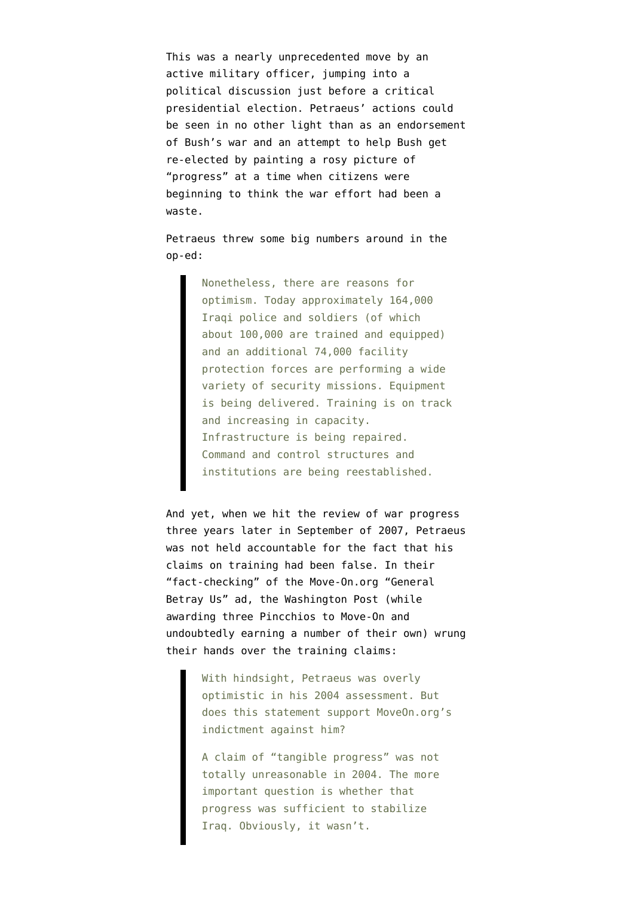This was a nearly unprecedented move by an active military officer, jumping into a political discussion just before a critical presidential election. Petraeus' actions could be seen in no other light than as an endorsement of Bush's war and an attempt to help Bush get re-elected by painting a rosy picture of "progress" at a time when citizens were beginning to think the war effort had been a waste.

Petraeus threw some big numbers around in the op-ed:

> Nonetheless, there are reasons for optimism. Today approximately 164,000 Iraqi police and soldiers (of which about 100,000 are trained and equipped) and an additional 74,000 facility protection forces are performing a wide variety of security missions. Equipment is being delivered. Training is on track and increasing in capacity. Infrastructure is being repaired. Command and control structures and institutions are being reestablished.

And yet, when we hit the review of war progress three years later in September of 2007, Petraeus was not held accountable for the fact that his claims on training had been false. In their ["fact-checking" of the Move-On.org "General](http://voices.washingtonpost.com/fact-checker/2007/09/general_betray_us.html) [Betray Us" ad](http://voices.washingtonpost.com/fact-checker/2007/09/general_betray_us.html), the Washington Post (while awarding three Pincchios to Move-On and undoubtedly earning a number of their own) wrung their hands over the training claims:

> With hindsight, Petraeus was overly optimistic in his 2004 assessment. But does this statement support MoveOn.org's indictment against him?

A claim of "tangible progress" was not totally unreasonable in 2004. The more important question is whether that progress was sufficient to stabilize Iraq. Obviously, it wasn't.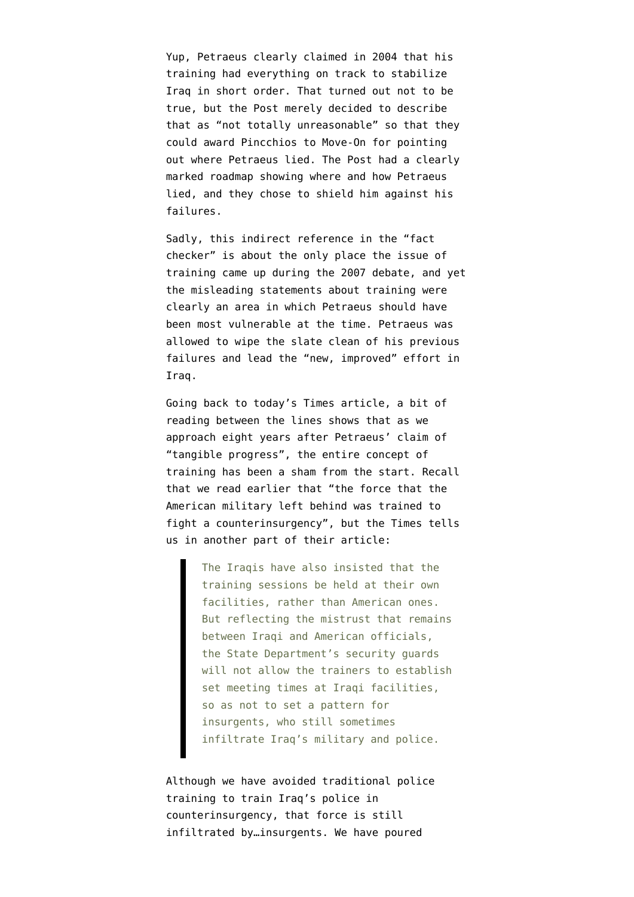Yup, Petraeus clearly claimed in 2004 that his training had everything on track to stabilize Iraq in short order. That turned out not to be true, but the Post merely decided to describe that as "not totally unreasonable" so that they could award Pincchios to Move-On for pointing out where Petraeus lied. The Post had a clearly marked roadmap showing where and how Petraeus lied, and they chose to shield him against his failures.

Sadly, this indirect reference in the "fact checker" is about the only place the issue of training came up during the 2007 debate, and yet the misleading statements about training were clearly an area in which Petraeus should have been most vulnerable at the time. Petraeus was allowed to wipe the slate clean of his previous failures and lead the "new, improved" effort in Iraq.

Going back to today's Times article, a bit of reading between the lines shows that as we approach eight years after Petraeus' claim of "tangible progress", the entire concept of training has been a sham from the start. Recall that we read earlier that "the force that the American military left behind was trained to fight a counterinsurgency", but the Times tells us in another part of their article:

> The Iraqis have also insisted that the training sessions be held at their own facilities, rather than American ones. But reflecting the mistrust that remains between Iraqi and American officials, the State Department's security guards will not allow the trainers to establish set meeting times at Iraqi facilities, so as not to set a pattern for insurgents, who still sometimes infiltrate Iraq's military and police.

Although we have avoided traditional police training to train Iraq's police in counterinsurgency, that force is still infiltrated by…insurgents. We have poured